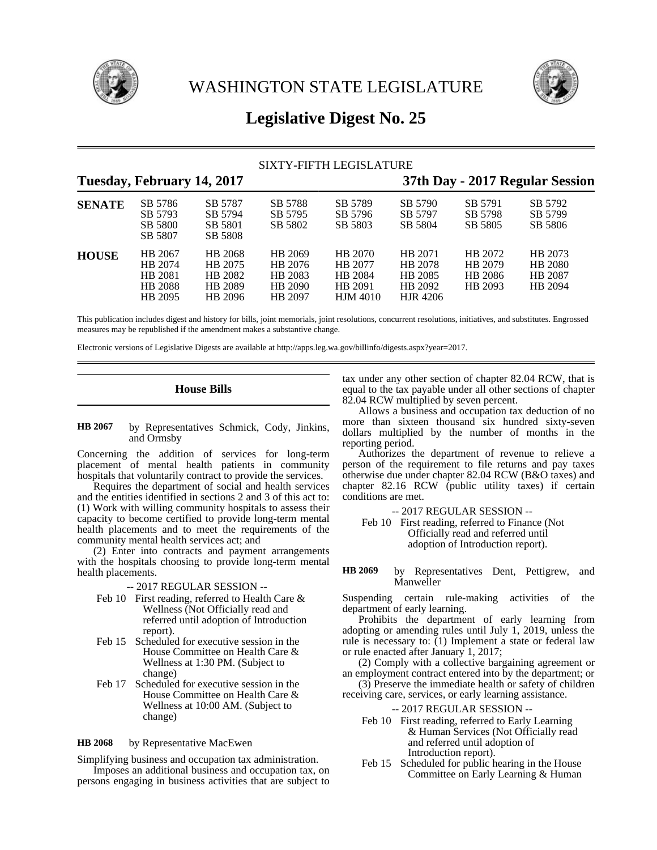

WASHINGTON STATE LEGISLATURE



# **Legislative Digest No. 25**

| SIXTY-FIFTH LEGISLATURE |                                                     |                                                     |                                                     |                                                             |                                                      |                                          |                                          |  |  |
|-------------------------|-----------------------------------------------------|-----------------------------------------------------|-----------------------------------------------------|-------------------------------------------------------------|------------------------------------------------------|------------------------------------------|------------------------------------------|--|--|
|                         | Tuesday, February 14, 2017                          |                                                     |                                                     |                                                             |                                                      |                                          | 37th Day - 2017 Regular Session          |  |  |
| <b>SENATE</b>           | SB 5786<br>SB 5793<br>SB 5800<br>SB 5807            | SB 5787<br>SB 5794<br>SB 5801<br>SB 5808            | SB 5788<br>SB 5795<br>SB 5802                       | SB 5789<br>SB 5796<br>SB 5803                               | SB 5790<br>SB 5797<br>SB 5804                        | SB 5791<br>SB 5798<br>SB 5805            | SB 5792<br>SB 5799<br>SB 5806            |  |  |
| <b>HOUSE</b>            | HB 2067<br>HB 2074<br>HB 2081<br>HB 2088<br>HB 2095 | HB 2068<br>HB 2075<br>HB 2082<br>HB 2089<br>HB 2096 | HB 2069<br>HB 2076<br>HB 2083<br>HB 2090<br>HB 2097 | HB 2070<br>HB 2077<br>HB 2084<br>HB 2091<br><b>HJM 4010</b> | HB 2071<br>HB 2078<br>HB 2085<br>HB 2092<br>HJR 4206 | HB 2072<br>HB 2079<br>HB 2086<br>HB 2093 | HB 2073<br>HB 2080<br>HB 2087<br>HB 2094 |  |  |

This publication includes digest and history for bills, joint memorials, joint resolutions, concurrent resolutions, initiatives, and substitutes. Engrossed measures may be republished if the amendment makes a substantive change.

Electronic versions of Legislative Digests are available at http://apps.leg.wa.gov/billinfo/digests.aspx?year=2017.

# **House Bills**

by Representatives Schmick, Cody, Jinkins, and Ormsby **HB 2067**

Concerning the addition of services for long-term placement of mental health patients in community hospitals that voluntarily contract to provide the services.

Requires the department of social and health services and the entities identified in sections 2 and 3 of this act to: (1) Work with willing community hospitals to assess their capacity to become certified to provide long-term mental health placements and to meet the requirements of the community mental health services act; and

(2) Enter into contracts and payment arrangements with the hospitals choosing to provide long-term mental health placements.

-- 2017 REGULAR SESSION --

- Feb 10 First reading, referred to Health Care & Wellness (Not Officially read and referred until adoption of Introduction report).
- Feb 15 Scheduled for executive session in the House Committee on Health Care & Wellness at 1:30 PM. (Subject to change)
- Feb 17 Scheduled for executive session in the House Committee on Health Care & Wellness at 10:00 AM. (Subject to change)

by Representative MacEwen **HB 2068**

Simplifying business and occupation tax administration. Imposes an additional business and occupation tax, on

persons engaging in business activities that are subject to

tax under any other section of chapter 82.04 RCW, that is equal to the tax payable under all other sections of chapter 82.04 RCW multiplied by seven percent.

Allows a business and occupation tax deduction of no more than sixteen thousand six hundred sixty-seven dollars multiplied by the number of months in the reporting period.

Authorizes the department of revenue to relieve a person of the requirement to file returns and pay taxes otherwise due under chapter 82.04 RCW (B&O taxes) and chapter 82.16 RCW (public utility taxes) if certain conditions are met.

-- 2017 REGULAR SESSION -- Feb 10 First reading, referred to Finance (Not Officially read and referred until adoption of Introduction report).

by Representatives Dent, Pettigrew, and Manweller **HB 2069**

Suspending certain rule-making activities of the department of early learning.

Prohibits the department of early learning from adopting or amending rules until July 1, 2019, unless the rule is necessary to: (1) Implement a state or federal law or rule enacted after January 1, 2017;

(2) Comply with a collective bargaining agreement or an employment contract entered into by the department; or

(3) Preserve the immediate health or safety of children receiving care, services, or early learning assistance.

-- 2017 REGULAR SESSION --

- Feb 10 First reading, referred to Early Learning & Human Services (Not Officially read and referred until adoption of Introduction report).
- Feb 15 Scheduled for public hearing in the House Committee on Early Learning & Human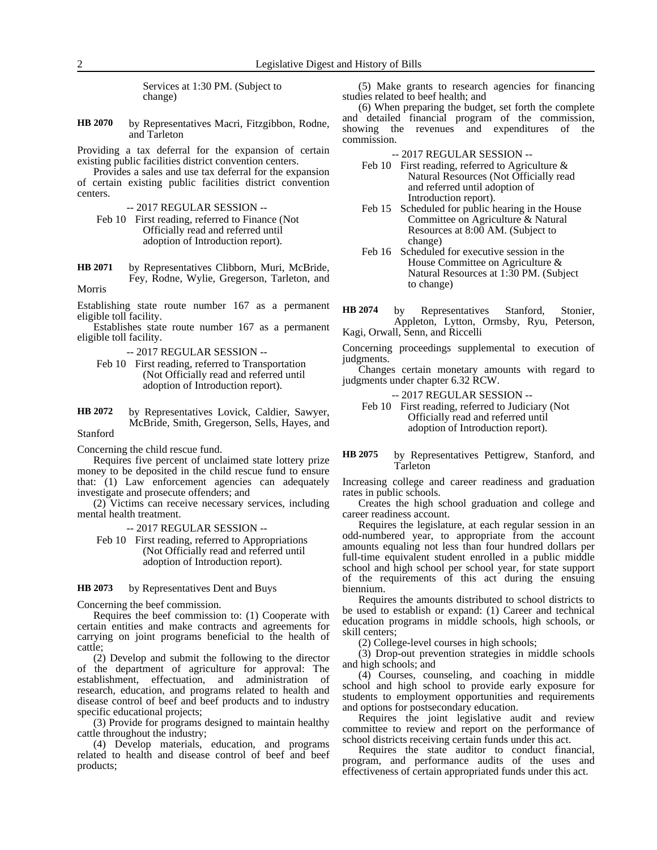Services at 1:30 PM. (Subject to change)

by Representatives Macri, Fitzgibbon, Rodne, and Tarleton **HB 2070**

Providing a tax deferral for the expansion of certain existing public facilities district convention centers.

Provides a sales and use tax deferral for the expansion of certain existing public facilities district convention centers.

-- 2017 REGULAR SESSION --

- Feb 10 First reading, referred to Finance (Not Officially read and referred until adoption of Introduction report).
- by Representatives Clibborn, Muri, McBride, Fey, Rodne, Wylie, Gregerson, Tarleton, and **HB 2071**

Morris

Establishing state route number 167 as a permanent eligible toll facility.

Establishes state route number 167 as a permanent eligible toll facility.

-- 2017 REGULAR SESSION --

- Feb 10 First reading, referred to Transportation (Not Officially read and referred until adoption of Introduction report).
- by Representatives Lovick, Caldier, Sawyer, McBride, Smith, Gregerson, Sells, Hayes, and Stanford **HB 2072**

Concerning the child rescue fund.

Requires five percent of unclaimed state lottery prize money to be deposited in the child rescue fund to ensure that: (1) Law enforcement agencies can adequately investigate and prosecute offenders; and

(2) Victims can receive necessary services, including mental health treatment.

-- 2017 REGULAR SESSION --

Feb 10 First reading, referred to Appropriations (Not Officially read and referred until adoption of Introduction report).

by Representatives Dent and Buys **HB 2073**

Concerning the beef commission.

Requires the beef commission to: (1) Cooperate with certain entities and make contracts and agreements for carrying on joint programs beneficial to the health of cattle;

(2) Develop and submit the following to the director of the department of agriculture for approval: The establishment, effectuation, and administration of research, education, and programs related to health and disease control of beef and beef products and to industry specific educational projects;

(3) Provide for programs designed to maintain healthy cattle throughout the industry;

(4) Develop materials, education, and programs related to health and disease control of beef and beef products;

(5) Make grants to research agencies for financing studies related to beef health; and

(6) When preparing the budget, set forth the complete and detailed financial program of the commission, showing the revenues and expenditures of the commission.

-- 2017 REGULAR SESSION --

- Feb 10 First reading, referred to Agriculture & Natural Resources (Not Officially read and referred until adoption of Introduction report).
- Feb 15 Scheduled for public hearing in the House Committee on Agriculture & Natural Resources at 8:00 AM. (Subject to change)
- Feb 16 Scheduled for executive session in the House Committee on Agriculture & Natural Resources at 1:30 PM. (Subject to change)
- by Representatives Stanford, Stonier, Appleton, Lytton, Ormsby, Ryu, Peterson, Kagi, Orwall, Senn, and Riccelli **HB 2074**

Concerning proceedings supplemental to execution of judgments.

Changes certain monetary amounts with regard to judgments under chapter 6.32 RCW.

-- 2017 REGULAR SESSION --

Feb 10 First reading, referred to Judiciary (Not Officially read and referred until adoption of Introduction report).

by Representatives Pettigrew, Stanford, and Tarleton **HB 2075**

Increasing college and career readiness and graduation rates in public schools.

Creates the high school graduation and college and career readiness account.

Requires the legislature, at each regular session in an odd-numbered year, to appropriate from the account amounts equaling not less than four hundred dollars per full-time equivalent student enrolled in a public middle school and high school per school year, for state support of the requirements of this act during the ensuing biennium.

Requires the amounts distributed to school districts to be used to establish or expand: (1) Career and technical education programs in middle schools, high schools, or skill centers;

(2) College-level courses in high schools;

(3) Drop-out prevention strategies in middle schools and high schools; and

(4) Courses, counseling, and coaching in middle school and high school to provide early exposure for students to employment opportunities and requirements and options for postsecondary education.

Requires the joint legislative audit and review committee to review and report on the performance of school districts receiving certain funds under this act.

Requires the state auditor to conduct financial, program, and performance audits of the uses and effectiveness of certain appropriated funds under this act.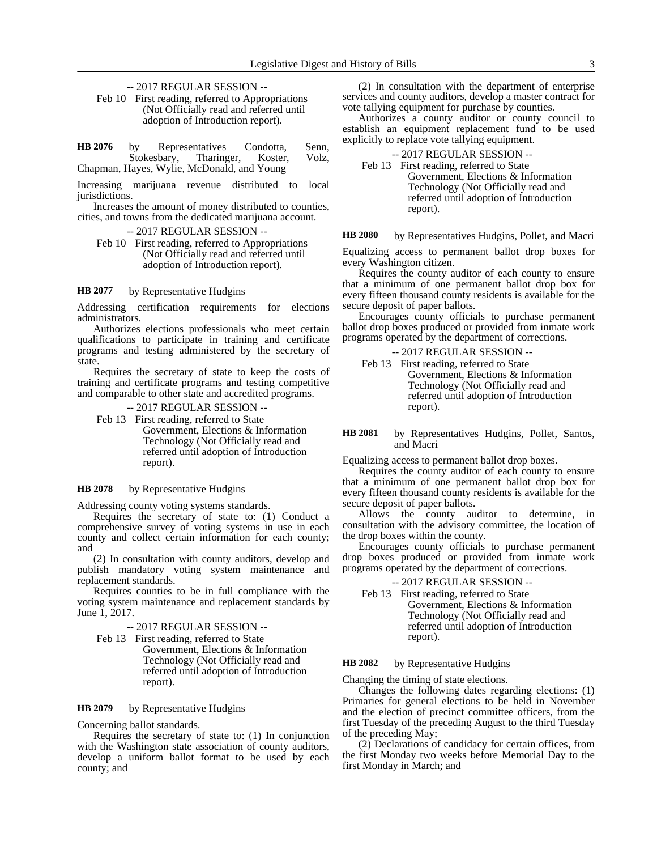-- 2017 REGULAR SESSION --

Feb 10 First reading, referred to Appropriations (Not Officially read and referred until adoption of Introduction report).

by Representatives Condotta, Senn, Stokesbary, Tharinger, Koster, Volz, Chapman, Hayes, Wylie, McDonald, and Young **HB 2076**

Increasing marijuana revenue distributed to local jurisdictions.

Increases the amount of money distributed to counties, cities, and towns from the dedicated marijuana account.

-- 2017 REGULAR SESSION --

Feb 10 First reading, referred to Appropriations (Not Officially read and referred until adoption of Introduction report).

by Representative Hudgins **HB 2077**

Addressing certification requirements for elections administrators.

Authorizes elections professionals who meet certain qualifications to participate in training and certificate programs and testing administered by the secretary of state.

Requires the secretary of state to keep the costs of training and certificate programs and testing competitive and comparable to other state and accredited programs.

-- 2017 REGULAR SESSION --

Feb 13 First reading, referred to State Government, Elections & Information Technology (Not Officially read and referred until adoption of Introduction report).

### by Representative Hudgins **HB 2078**

Addressing county voting systems standards.

Requires the secretary of state to: (1) Conduct a comprehensive survey of voting systems in use in each county and collect certain information for each county; and

(2) In consultation with county auditors, develop and publish mandatory voting system maintenance and replacement standards.

Requires counties to be in full compliance with the voting system maintenance and replacement standards by June 1, 2017.

-- 2017 REGULAR SESSION --

Feb 13 First reading, referred to State

Government, Elections & Information Technology (Not Officially read and referred until adoption of Introduction report).

by Representative Hudgins **HB 2079**

Concerning ballot standards.

Requires the secretary of state to: (1) In conjunction with the Washington state association of county auditors, develop a uniform ballot format to be used by each county; and

(2) In consultation with the department of enterprise services and county auditors, develop a master contract for vote tallying equipment for purchase by counties.

Authorizes a county auditor or county council to establish an equipment replacement fund to be used explicitly to replace vote tallying equipment.

- -- 2017 REGULAR SESSION --
- Feb 13 First reading, referred to State Government, Elections & Information Technology (Not Officially read and referred until adoption of Introduction report).

by Representatives Hudgins, Pollet, and Macri **HB 2080**

Equalizing access to permanent ballot drop boxes for every Washington citizen.

Requires the county auditor of each county to ensure that a minimum of one permanent ballot drop box for every fifteen thousand county residents is available for the secure deposit of paper ballots.

Encourages county officials to purchase permanent ballot drop boxes produced or provided from inmate work programs operated by the department of corrections.

| --2017 REGULAR SESSION --               |  |
|-----------------------------------------|--|
| Feb 13 First reading, referred to State |  |
| Government, Elections & Information     |  |
| Technology (Not Officially read and     |  |
| referred until adoption of Introduction |  |
| report).                                |  |

by Representatives Hudgins, Pollet, Santos, and Macri **HB 2081**

Equalizing access to permanent ballot drop boxes.

Requires the county auditor of each county to ensure that a minimum of one permanent ballot drop box for every fifteen thousand county residents is available for the secure deposit of paper ballots.

Allows the county auditor to determine, in consultation with the advisory committee, the location of the drop boxes within the county.

Encourages county officials to purchase permanent drop boxes produced or provided from inmate work programs operated by the department of corrections.

# -- 2017 REGULAR SESSION --

Feb 13 First reading, referred to State Government, Elections & Information Technology (Not Officially read and referred until adoption of Introduction report).

### by Representative Hudgins **HB 2082**

Changing the timing of state elections.

Changes the following dates regarding elections: (1) Primaries for general elections to be held in November and the election of precinct committee officers, from the first Tuesday of the preceding August to the third Tuesday of the preceding May;

(2) Declarations of candidacy for certain offices, from the first Monday two weeks before Memorial Day to the first Monday in March; and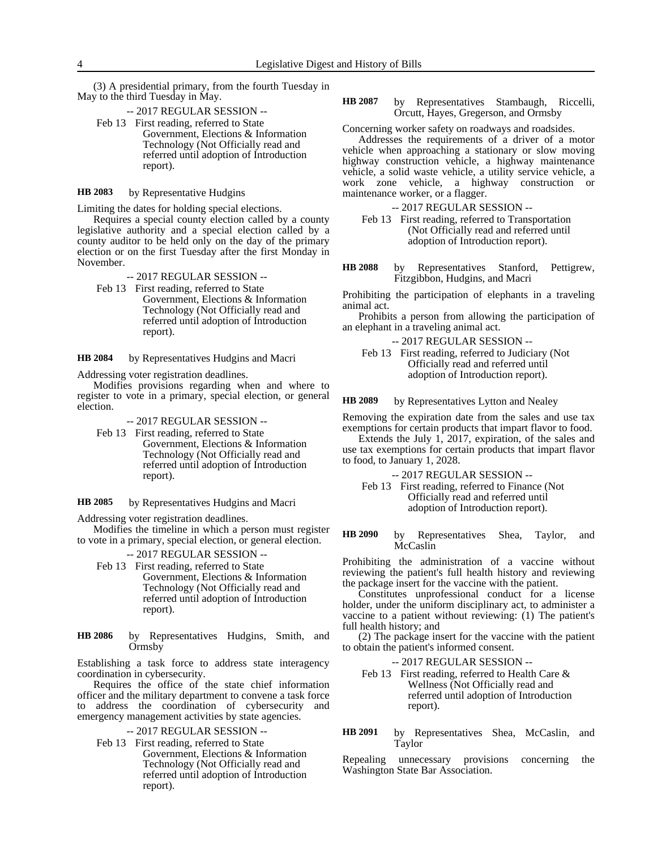(3) A presidential primary, from the fourth Tuesday in May to the third Tuesday in May.

- -- 2017 REGULAR SESSION --
- Feb 13 First reading, referred to State Government, Elections & Information Technology (Not Officially read and referred until adoption of Introduction report).

by Representative Hudgins **HB 2083**

Limiting the dates for holding special elections.

Requires a special county election called by a county legislative authority and a special election called by a county auditor to be held only on the day of the primary election or on the first Tuesday after the first Monday in November.

-- 2017 REGULAR SESSION --

Feb 13 First reading, referred to State Government, Elections & Information Technology (Not Officially read and referred until adoption of Introduction report).

by Representatives Hudgins and Macri **HB 2084**

Addressing voter registration deadlines.

Modifies provisions regarding when and where to register to vote in a primary, special election, or general election.

-- 2017 REGULAR SESSION --

Feb 13 First reading, referred to State Government, Elections & Information Technology (Not Officially read and referred until adoption of Introduction report).

by Representatives Hudgins and Macri **HB 2085**

Addressing voter registration deadlines.

Modifies the timeline in which a person must register to vote in a primary, special election, or general election.

-- 2017 REGULAR SESSION --

- Feb 13 First reading, referred to State Government, Elections & Information Technology (Not Officially read and referred until adoption of Introduction report).
- by Representatives Hudgins, Smith, and Ormsby **HB 2086**

Establishing a task force to address state interagency coordination in cybersecurity.

Requires the office of the state chief information officer and the military department to convene a task force to address the coordination of cybersecurity and emergency management activities by state agencies.

-- 2017 REGULAR SESSION --

Feb 13 First reading, referred to State Government, Elections & Information Technology (Not Officially read and referred until adoption of Introduction report).

by Representatives Stambaugh, Riccelli, Orcutt, Hayes, Gregerson, and Ormsby **HB 2087**

Concerning worker safety on roadways and roadsides.

Addresses the requirements of a driver of a motor vehicle when approaching a stationary or slow moving highway construction vehicle, a highway maintenance vehicle, a solid waste vehicle, a utility service vehicle, a work zone vehicle, a highway construction or maintenance worker, or a flagger.

-- 2017 REGULAR SESSION --

- Feb 13 First reading, referred to Transportation (Not Officially read and referred until adoption of Introduction report).
- by Representatives Stanford, Pettigrew, Fitzgibbon, Hudgins, and Macri **HB 2088**

Prohibiting the participation of elephants in a traveling animal act.

Prohibits a person from allowing the participation of an elephant in a traveling animal act.

-- 2017 REGULAR SESSION --

Feb 13 First reading, referred to Judiciary (Not Officially read and referred until adoption of Introduction report).

by Representatives Lytton and Nealey **HB 2089**

Removing the expiration date from the sales and use tax exemptions for certain products that impart flavor to food.

Extends the July 1, 2017, expiration, of the sales and use tax exemptions for certain products that impart flavor to food, to January 1, 2028.

-- 2017 REGULAR SESSION --

Feb 13 First reading, referred to Finance (Not Officially read and referred until adoption of Introduction report).

by Representatives Shea, Taylor, and McCaslin **HB 2090**

Prohibiting the administration of a vaccine without reviewing the patient's full health history and reviewing the package insert for the vaccine with the patient.

Constitutes unprofessional conduct for a license holder, under the uniform disciplinary act, to administer a vaccine to a patient without reviewing: (1) The patient's full health history; and

(2) The package insert for the vaccine with the patient to obtain the patient's informed consent.

-- 2017 REGULAR SESSION --

Feb 13 First reading, referred to Health Care & Wellness (Not Officially read and referred until adoption of Introduction report).

by Representatives Shea, McCaslin, and Taylor **HB 2091**

Repealing unnecessary provisions concerning the Washington State Bar Association.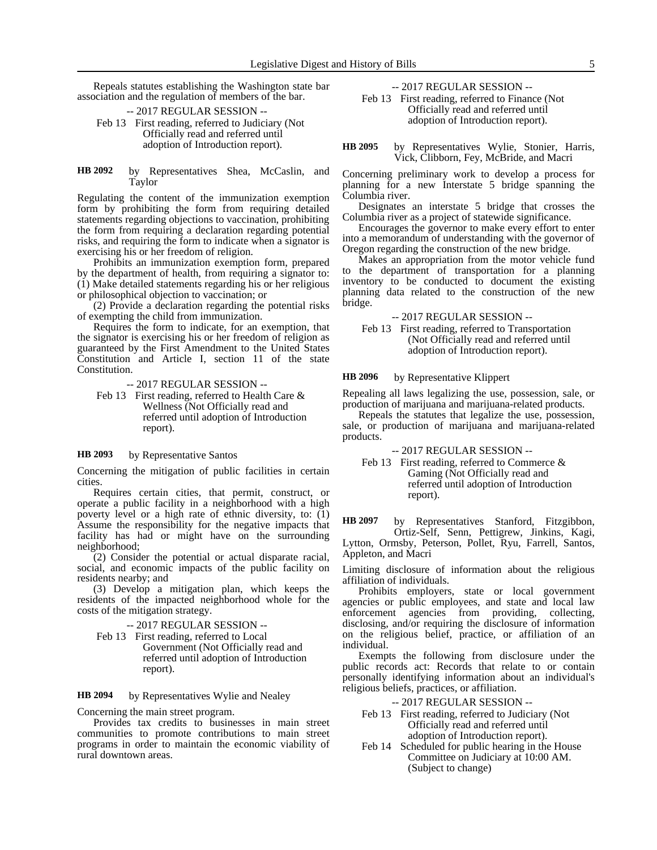Repeals statutes establishing the Washington state bar association and the regulation of members of the bar.

### -- 2017 REGULAR SESSION --

Feb 13 First reading, referred to Judiciary (Not Officially read and referred until adoption of Introduction report).

### by Representatives Shea, McCaslin, and Taylor **HB 2092**

Regulating the content of the immunization exemption form by prohibiting the form from requiring detailed statements regarding objections to vaccination, prohibiting the form from requiring a declaration regarding potential risks, and requiring the form to indicate when a signator is exercising his or her freedom of religion.

Prohibits an immunization exemption form, prepared by the department of health, from requiring a signator to: (1) Make detailed statements regarding his or her religious or philosophical objection to vaccination; or

(2) Provide a declaration regarding the potential risks of exempting the child from immunization.

Requires the form to indicate, for an exemption, that the signator is exercising his or her freedom of religion as guaranteed by the First Amendment to the United States Constitution and Article I, section 11 of the state Constitution.

-- 2017 REGULAR SESSION --

Feb 13 First reading, referred to Health Care & Wellness (Not Officially read and referred until adoption of Introduction report).

### by Representative Santos **HB 2093**

Concerning the mitigation of public facilities in certain cities.

Requires certain cities, that permit, construct, or operate a public facility in a neighborhood with a high poverty level or a high rate of ethnic diversity, to: (1) Assume the responsibility for the negative impacts that facility has had or might have on the surrounding neighborhood;

(2) Consider the potential or actual disparate racial, social, and economic impacts of the public facility on residents nearby; and

(3) Develop a mitigation plan, which keeps the residents of the impacted neighborhood whole for the costs of the mitigation strategy.

-- 2017 REGULAR SESSION --

Feb 13 First reading, referred to Local

Government (Not Officially read and referred until adoption of Introduction report).

by Representatives Wylie and Nealey **HB 2094**

Concerning the main street program.

Provides tax credits to businesses in main street communities to promote contributions to main street programs in order to maintain the economic viability of rural downtown areas.

-- 2017 REGULAR SESSION --

Feb 13 First reading, referred to Finance (Not Officially read and referred until adoption of Introduction report).

by Representatives Wylie, Stonier, Harris, Vick, Clibborn, Fey, McBride, and Macri **HB 2095**

Concerning preliminary work to develop a process for planning for a new Interstate 5 bridge spanning the Columbia river.

Designates an interstate 5 bridge that crosses the Columbia river as a project of statewide significance.

Encourages the governor to make every effort to enter into a memorandum of understanding with the governor of Oregon regarding the construction of the new bridge.

Makes an appropriation from the motor vehicle fund to the department of transportation for a planning inventory to be conducted to document the existing planning data related to the construction of the new bridge.

-- 2017 REGULAR SESSION --

Feb 13 First reading, referred to Transportation (Not Officially read and referred until adoption of Introduction report).

#### by Representative Klippert **HB 2096**

Repealing all laws legalizing the use, possession, sale, or production of marijuana and marijuana-related products.

Repeals the statutes that legalize the use, possession, sale, or production of marijuana and marijuana-related products.

-- 2017 REGULAR SESSION --

Feb 13 First reading, referred to Commerce & Gaming (Not Officially read and referred until adoption of Introduction report).

by Representatives Stanford, Fitzgibbon, **HB 2097**

Ortiz-Self, Senn, Pettigrew, Jinkins, Kagi, Lytton, Ormsby, Peterson, Pollet, Ryu, Farrell, Santos, Appleton, and Macri

Limiting disclosure of information about the religious affiliation of individuals.

Prohibits employers, state or local government agencies or public employees, and state and local law enforcement agencies from providing, collecting, disclosing, and/or requiring the disclosure of information on the religious belief, practice, or affiliation of an individual.

Exempts the following from disclosure under the public records act: Records that relate to or contain personally identifying information about an individual's religious beliefs, practices, or affiliation.

- -- 2017 REGULAR SESSION --
- Feb 13 First reading, referred to Judiciary (Not Officially read and referred until adoption of Introduction report).
- Feb 14 Scheduled for public hearing in the House Committee on Judiciary at 10:00 AM. (Subject to change)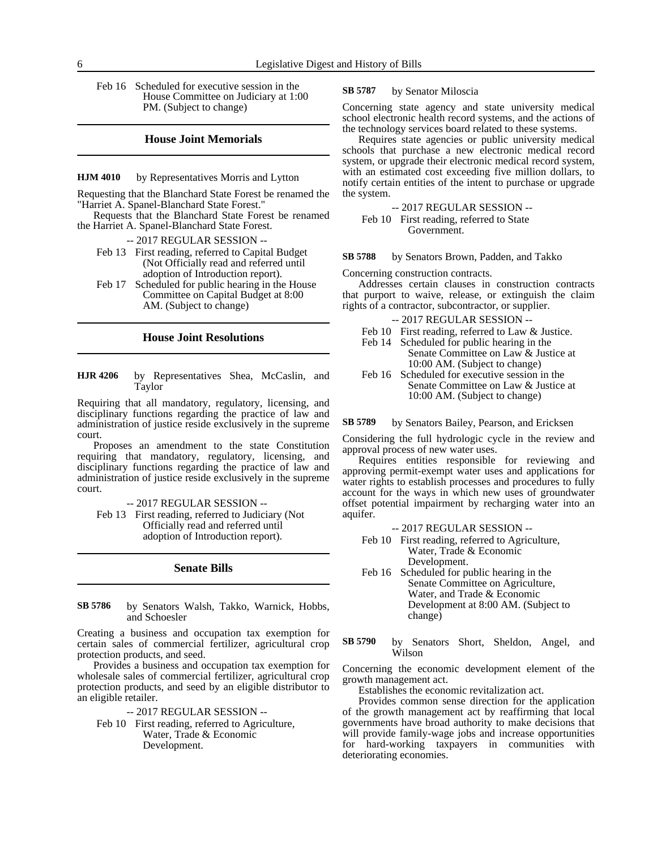Feb 16 Scheduled for executive session in the House Committee on Judiciary at 1:00 PM. (Subject to change)

# **House Joint Memorials**

by Representatives Morris and Lytton **HJM 4010**

Requesting that the Blanchard State Forest be renamed the "Harriet A. Spanel-Blanchard State Forest."

Requests that the Blanchard State Forest be renamed the Harriet A. Spanel-Blanchard State Forest.

-- 2017 REGULAR SESSION --

- Feb 13 First reading, referred to Capital Budget (Not Officially read and referred until adoption of Introduction report).
- Feb 17 Scheduled for public hearing in the House Committee on Capital Budget at 8:00 AM. (Subject to change)

## **House Joint Resolutions**

by Representatives Shea, McCaslin, and Taylor **HJR 4206**

Requiring that all mandatory, regulatory, licensing, and disciplinary functions regarding the practice of law and administration of justice reside exclusively in the supreme court.

Proposes an amendment to the state Constitution requiring that mandatory, regulatory, licensing, and disciplinary functions regarding the practice of law and administration of justice reside exclusively in the supreme court.

-- 2017 REGULAR SESSION --

Feb 13 First reading, referred to Judiciary (Not Officially read and referred until adoption of Introduction report).

# **Senate Bills**

by Senators Walsh, Takko, Warnick, Hobbs, and Schoesler **SB 5786**

Creating a business and occupation tax exemption for certain sales of commercial fertilizer, agricultural crop protection products, and seed.

Provides a business and occupation tax exemption for wholesale sales of commercial fertilizer, agricultural crop protection products, and seed by an eligible distributor to an eligible retailer.

-- 2017 REGULAR SESSION --

Feb 10 First reading, referred to Agriculture, Water, Trade & Economic Development.

#### by Senator Miloscia **SB 5787**

Concerning state agency and state university medical school electronic health record systems, and the actions of the technology services board related to these systems.

Requires state agencies or public university medical schools that purchase a new electronic medical record system, or upgrade their electronic medical record system, with an estimated cost exceeding five million dollars, to notify certain entities of the intent to purchase or upgrade the system.

-- 2017 REGULAR SESSION --

Feb 10 First reading, referred to State Government.

by Senators Brown, Padden, and Takko **SB 5788**

Concerning construction contracts.

Addresses certain clauses in construction contracts that purport to waive, release, or extinguish the claim rights of a contractor, subcontractor, or supplier.

-- 2017 REGULAR SESSION --

- Feb 10 First reading, referred to Law & Justice.
- Feb 14 Scheduled for public hearing in the Senate Committee on Law & Justice at 10:00 AM. (Subject to change)
- Feb 16 Scheduled for executive session in the Senate Committee on Law & Justice at 10:00 AM. (Subject to change)

by Senators Bailey, Pearson, and Ericksen **SB 5789**

Considering the full hydrologic cycle in the review and approval process of new water uses.

Requires entities responsible for reviewing and approving permit-exempt water uses and applications for water rights to establish processes and procedures to fully account for the ways in which new uses of groundwater offset potential impairment by recharging water into an aquifer.

-- 2017 REGULAR SESSION --

- Feb 10 First reading, referred to Agriculture, Water, Trade & Economic Development.
- Feb 16 Scheduled for public hearing in the Senate Committee on Agriculture, Water, and Trade & Economic Development at 8:00 AM. (Subject to change)
- by Senators Short, Sheldon, Angel, and Wilson **SB 5790**

Concerning the economic development element of the growth management act.

Establishes the economic revitalization act.

Provides common sense direction for the application of the growth management act by reaffirming that local governments have broad authority to make decisions that will provide family-wage jobs and increase opportunities for hard-working taxpayers in communities with deteriorating economies.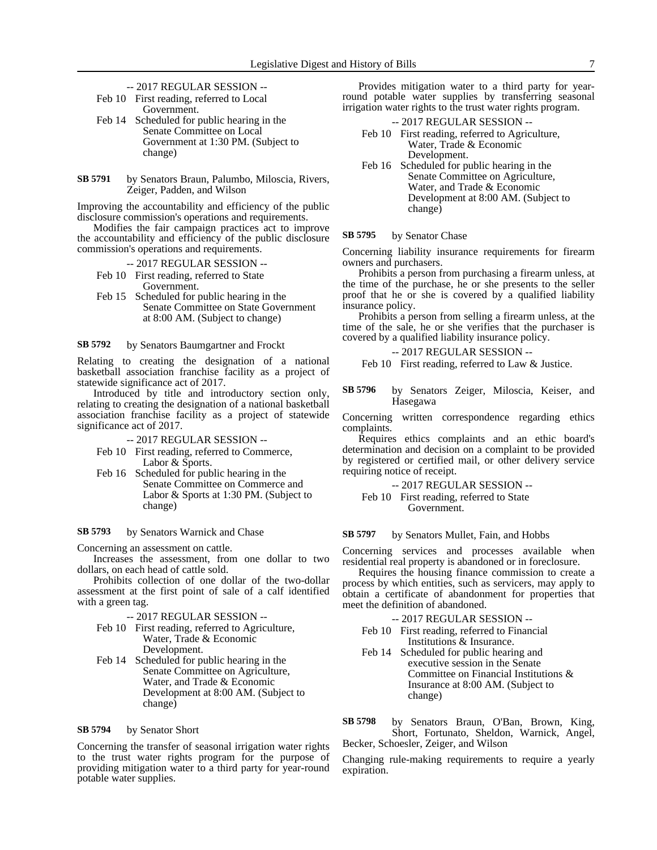- -- 2017 REGULAR SESSION -- Feb 10 First reading, referred to Local
- Government.
- Feb 14 Scheduled for public hearing in the Senate Committee on Local Government at 1:30 PM. (Subject to change)
- by Senators Braun, Palumbo, Miloscia, Rivers, Zeiger, Padden, and Wilson **SB 5791**

Improving the accountability and efficiency of the public disclosure commission's operations and requirements.

Modifies the fair campaign practices act to improve the accountability and efficiency of the public disclosure commission's operations and requirements.

- -- 2017 REGULAR SESSION --
- Feb 10 First reading, referred to State
	- Government.
- Feb 15 Scheduled for public hearing in the Senate Committee on State Government at 8:00 AM. (Subject to change)

by Senators Baumgartner and Frockt **SB 5792**

Relating to creating the designation of a national basketball association franchise facility as a project of statewide significance act of 2017.

Introduced by title and introductory section only, relating to creating the designation of a national basketball association franchise facility as a project of statewide significance act of 2017.

- -- 2017 REGULAR SESSION --
- Feb 10 First reading, referred to Commerce, Labor & Sports.
- Feb 16 Scheduled for public hearing in the Senate Committee on Commerce and Labor & Sports at 1:30 PM. (Subject to change)

### by Senators Warnick and Chase **SB 5793**

Concerning an assessment on cattle.

Increases the assessment, from one dollar to two dollars, on each head of cattle sold.

Prohibits collection of one dollar of the two-dollar assessment at the first point of sale of a calf identified with a green tag.

- -- 2017 REGULAR SESSION --
- Feb 10 First reading, referred to Agriculture, Water, Trade & Economic Development.
- Feb 14 Scheduled for public hearing in the Senate Committee on Agriculture, Water, and Trade & Economic Development at 8:00 AM. (Subject to change)

### by Senator Short **SB 5794**

Concerning the transfer of seasonal irrigation water rights to the trust water rights program for the purpose of providing mitigation water to a third party for year-round potable water supplies.

Provides mitigation water to a third party for yearround potable water supplies by transferring seasonal irrigation water rights to the trust water rights program.

-- 2017 REGULAR SESSION -- Feb 10 First reading, referred to Agriculture, Water, Trade & Economic

Development. Feb 16 Scheduled for public hearing in the Senate Committee on Agriculture, Water, and Trade & Economic Development at 8:00 AM. (Subject to change)

### by Senator Chase **SB 5795**

Concerning liability insurance requirements for firearm owners and purchasers.

Prohibits a person from purchasing a firearm unless, at the time of the purchase, he or she presents to the seller proof that he or she is covered by a qualified liability insurance policy.

Prohibits a person from selling a firearm unless, at the time of the sale, he or she verifies that the purchaser is covered by a qualified liability insurance policy.

$$
-2017 \text{ REGULAR SESION} -
$$
  
Seb 10. First reading, referred to Low 2.

Feb 10 First reading, referred to Law & Justice.

by Senators Zeiger, Miloscia, Keiser, and Hasegawa **SB 5796**

Concerning written correspondence regarding ethics complaints.

Requires ethics complaints and an ethic board's determination and decision on a complaint to be provided by registered or certified mail, or other delivery service requiring notice of receipt.

-- 2017 REGULAR SESSION -- Feb 10 First reading, referred to State Government.

by Senators Mullet, Fain, and Hobbs **SB 5797**

Concerning services and processes available when residential real property is abandoned or in foreclosure.

Requires the housing finance commission to create a process by which entities, such as servicers, may apply to obtain a certificate of abandonment for properties that meet the definition of abandoned.

-- 2017 REGULAR SESSION --

- Feb 10 First reading, referred to Financial Institutions & Insurance.
- Feb 14 Scheduled for public hearing and executive session in the Senate Committee on Financial Institutions & Insurance at 8:00 AM. (Subject to change)

by Senators Braun, O'Ban, Brown, King, Short, Fortunato, Sheldon, Warnick, Angel, Becker, Schoesler, Zeiger, and Wilson **SB 5798**

Changing rule-making requirements to require a yearly expiration.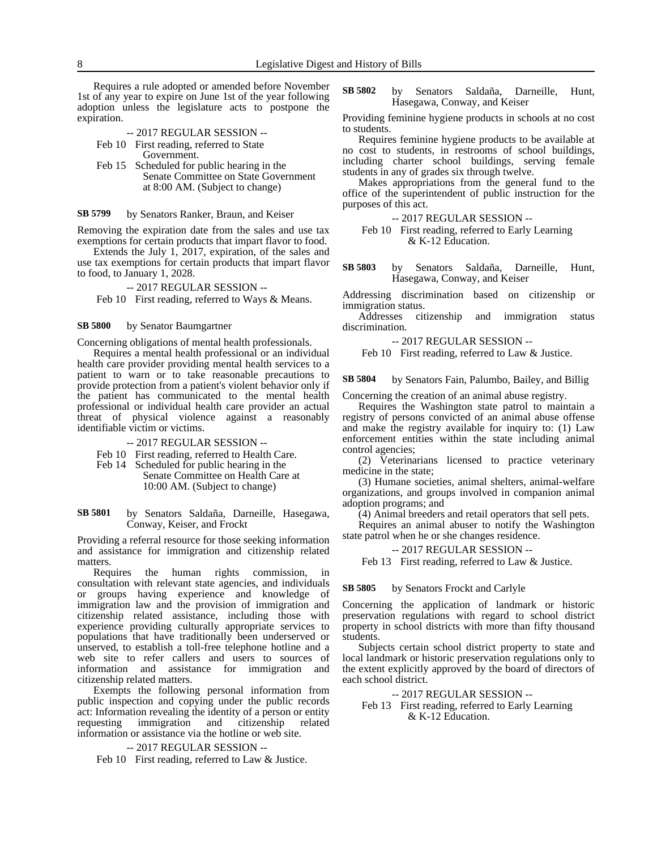Requires a rule adopted or amended before November 1st of any year to expire on June 1st of the year following adoption unless the legislature acts to postpone the expiration.

- -- 2017 REGULAR SESSION --
- Feb 10 First reading, referred to State Government.
- Feb 15 Scheduled for public hearing in the Senate Committee on State Government at 8:00 AM. (Subject to change)

by Senators Ranker, Braun, and Keiser **SB 5799**

Removing the expiration date from the sales and use tax exemptions for certain products that impart flavor to food.

Extends the July 1, 2017, expiration, of the sales and use tax exemptions for certain products that impart flavor to food, to January 1, 2028.

-- 2017 REGULAR SESSION -- Feb 10 First reading, referred to Ways & Means.

### by Senator Baumgartner **SB 5800**

Concerning obligations of mental health professionals.

Requires a mental health professional or an individual health care provider providing mental health services to a patient to warn or to take reasonable precautions to provide protection from a patient's violent behavior only if the patient has communicated to the mental health professional or individual health care provider an actual threat of physical violence against a reasonably identifiable victim or victims.

-- 2017 REGULAR SESSION --

- Feb 10 First reading, referred to Health Care.
- Feb 14 Scheduled for public hearing in the Senate Committee on Health Care at 10:00 AM. (Subject to change)

by Senators Saldaña, Darneille, Hasegawa, Conway, Keiser, and Frockt **SB 5801**

Providing a referral resource for those seeking information and assistance for immigration and citizenship related matters.<br>Requires

the human rights commission, in consultation with relevant state agencies, and individuals or groups having experience and knowledge of immigration law and the provision of immigration and citizenship related assistance, including those with experience providing culturally appropriate services to populations that have traditionally been underserved or unserved, to establish a toll-free telephone hotline and a web site to refer callers and users to sources of information and assistance for immigration and citizenship related matters.

Exempts the following personal information from public inspection and copying under the public records act: Information revealing the identity of a person or entity requesting immigration and citizenship related information or assistance via the hotline or web site.

-- 2017 REGULAR SESSION --

Feb 10 First reading, referred to Law & Justice.

by Senators Saldaña, Darneille, Hunt, Hasegawa, Conway, and Keiser **SB 5802**

Providing feminine hygiene products in schools at no cost to students.

Requires feminine hygiene products to be available at no cost to students, in restrooms of school buildings, including charter school buildings, serving female students in any of grades six through twelve.

Makes appropriations from the general fund to the office of the superintendent of public instruction for the purposes of this act.

-- 2017 REGULAR SESSION --

Feb 10 First reading, referred to Early Learning & K-12 Education.

by Senators Saldaña, Darneille, Hunt, Hasegawa, Conway, and Keiser **SB 5803**

Addressing discrimination based on citizenship or immigration status.

Addresses citizenship and immigration status discrimination.

-- 2017 REGULAR SESSION --

Feb 10 First reading, referred to Law & Justice.

by Senators Fain, Palumbo, Bailey, and Billig **SB 5804**

Concerning the creation of an animal abuse registry.

Requires the Washington state patrol to maintain a registry of persons convicted of an animal abuse offense and make the registry available for inquiry to: (1) Law enforcement entities within the state including animal control agencies;

(2) Veterinarians licensed to practice veterinary medicine in the state;

(3) Humane societies, animal shelters, animal-welfare organizations, and groups involved in companion animal adoption programs; and

(4) Animal breeders and retail operators that sell pets.

Requires an animal abuser to notify the Washington state patrol when he or she changes residence.

-- 2017 REGULAR SESSION --

Feb 13 First reading, referred to Law & Justice.

### by Senators Frockt and Carlyle **SB 5805**

Concerning the application of landmark or historic preservation regulations with regard to school district property in school districts with more than fifty thousand students.

Subjects certain school district property to state and local landmark or historic preservation regulations only to the extent explicitly approved by the board of directors of each school district.

-- 2017 REGULAR SESSION --

Feb 13 First reading, referred to Early Learning & K-12 Education.